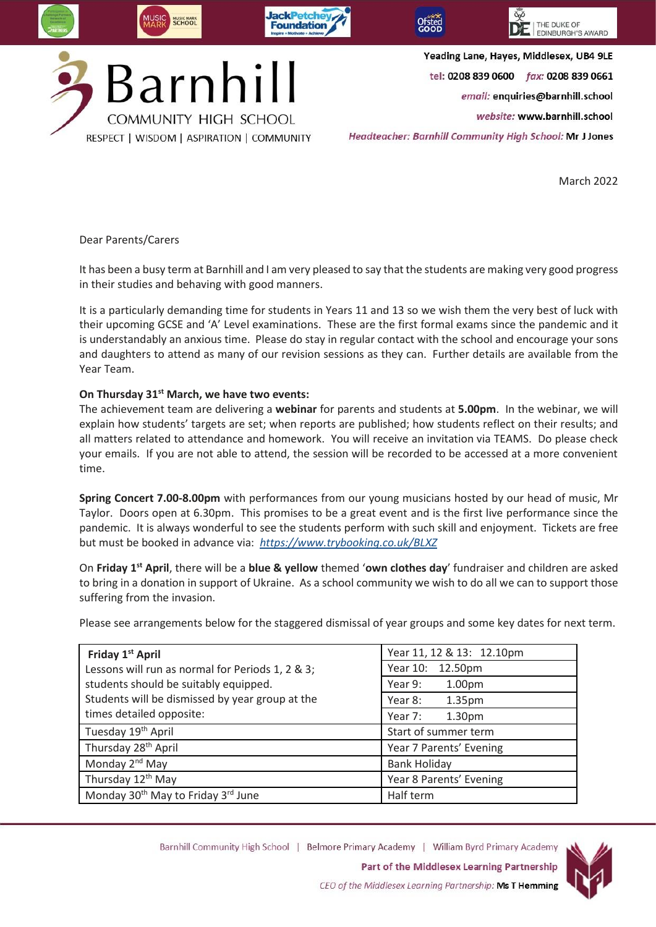

March 2022

## Dear Parents/Carers

It has been a busy term at Barnhill and I am very pleased to say that the students are making very good progress in their studies and behaving with good manners.

It is a particularly demanding time for students in Years 11 and 13 so we wish them the very best of luck with their upcoming GCSE and 'A' Level examinations. These are the first formal exams since the pandemic and it is understandably an anxious time. Please do stay in regular contact with the school and encourage your sons and daughters to attend as many of our revision sessions as they can. Further details are available from the Year Team.

## **On Thursday 31st March, we have two events:**

The achievement team are delivering a **webinar** for parents and students at **5.00pm**. In the webinar, we will explain how students' targets are set; when reports are published; how students reflect on their results; and all matters related to attendance and homework. You will receive an invitation via TEAMS. Do please check your emails. If you are not able to attend, the session will be recorded to be accessed at a more convenient time.

**Spring Concert 7.00-8.00pm** with performances from our young musicians hosted by our head of music, Mr Taylor. Doors open at 6.30pm. This promises to be a great event and is the first live performance since the pandemic. It is always wonderful to see the students perform with such skill and enjoyment. Tickets are free but must be booked in advance via: *<https://www.trybooking.co.uk/BLXZ>*

On **Friday 1 st April**, there will be a **blue & yellow** themed '**own clothes day**' fundraiser and children are asked to bring in a donation in support of Ukraine. As a school community we wish to do all we can to support those suffering from the invasion.

Please see arrangements below for the staggered dismissal of year groups and some key dates for next term.

| Friday 1 <sup>st</sup> April                               | Year 11, 12 & 13: 12.10pm     |
|------------------------------------------------------------|-------------------------------|
| Lessons will run as normal for Periods 1, 2 & 3;           | Year 10: 12.50pm              |
| students should be suitably equipped.                      | Year 9:<br>1.00pm             |
| Students will be dismissed by year group at the            | Year 8:<br>1.35 <sub>pm</sub> |
| times detailed opposite:                                   | 1.30 <sub>pm</sub><br>Year 7: |
| Tuesday 19 <sup>th</sup> April                             | Start of summer term          |
| Thursday 28 <sup>th</sup> April                            | Year 7 Parents' Evening       |
| Monday 2 <sup>nd</sup> May                                 | <b>Bank Holiday</b>           |
| Thursday 12 <sup>th</sup> May                              | Year 8 Parents' Evening       |
| Monday 30 <sup>th</sup> May to Friday 3 <sup>rd</sup> June | Half term                     |



Barnhill Community High School | Belmore Primary Academy | William Byrd Primary Academy Part of the Middlesex Learning Partnership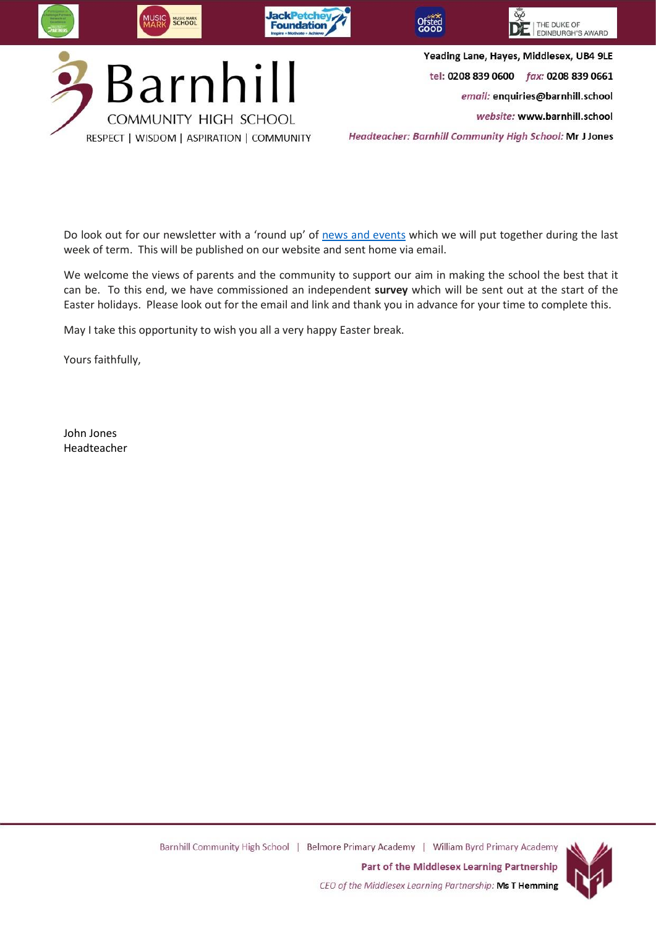

Do look out for our newsletter with a 'round up' of news and [events](https://www.barnhill.hillingdon.sch.uk/news/?pid=3&nid=1) which we will put together during the last week of term. This will be published on our website and sent home via email.

We welcome the views of parents and the community to support our aim in making the school the best that it can be. To this end, we have commissioned an independent **survey** which will be sent out at the start of the Easter holidays. Please look out for the email and link and thank you in advance for your time to complete this.

May I take this opportunity to wish you all a very happy Easter break.

Yours faithfully,

John Jones Headteacher